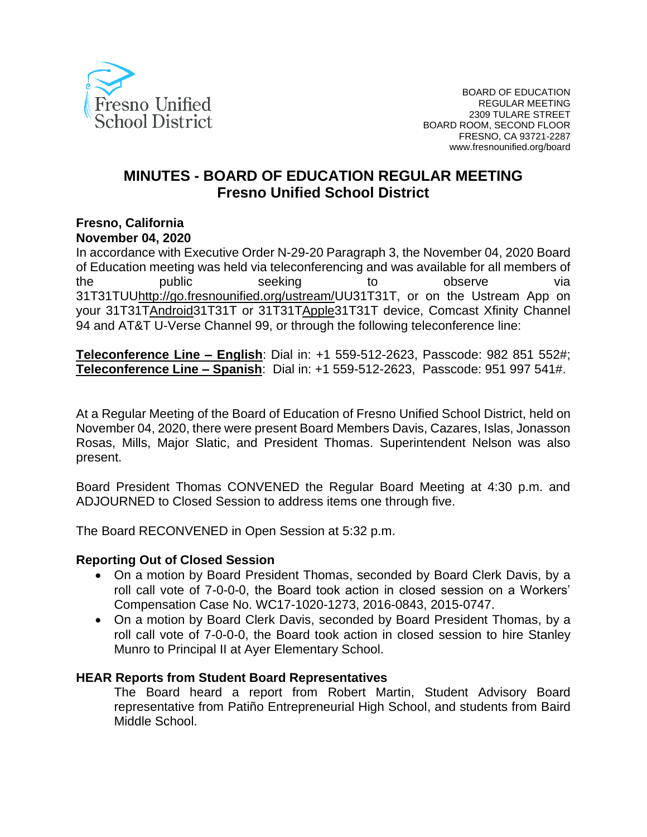

# **MINUTES - BOARD OF EDUCATION REGULAR MEETING Fresno Unified School District**

#### **Fresno, California November 04, 2020**

In accordance with Executive Order N-29-20 Paragraph 3, the November 04, 2020 Board of Education meeting was held via teleconferencing and was available for all members of the public seeking to observe via 31[T31TUUhttp://go.fresnounified.org/ustream/U](http://go.fresnounified.org/ustream/)U31T31T, or on the Ustream App on your 31[T31TAndroid3](https://play.google.com/store/apps/details?id=tv.ustream.ustream&hl=en_US)1T31T or 31[T31TApple3](https://itunes.apple.com/us/app/ustream/id301520250?mt=8)1T31T device, Comcast Xfinity Channel 94 and AT&T U-Verse Channel 99, or through the following teleconference line:

**Teleconference Line – English**: Dial in: +1 559-512-2623, Passcode: 982 851 552#; **Teleconference Line – Spanish**: Dial in: +1 559-512-2623, Passcode: 951 997 541#.

At a Regular Meeting of the Board of Education of Fresno Unified School District, held on November 04, 2020, there were present Board Members Davis, Cazares, Islas, Jonasson Rosas, Mills, Major Slatic, and President Thomas. Superintendent Nelson was also present.

Board President Thomas CONVENED the Regular Board Meeting at 4:30 p.m. and ADJOURNED to Closed Session to address items one through five.

The Board RECONVENED in Open Session at 5:32 p.m.

### **Reporting Out of Closed Session**

- On a motion by Board President Thomas, seconded by Board Clerk Davis, by a roll call vote of 7-0-0-0, the Board took action in closed session on a Workers' Compensation Case No. WC17-1020-1273, 2016-0843, 2015-0747.
- On a motion by Board Clerk Davis, seconded by Board President Thomas, by a roll call vote of 7-0-0-0, the Board took action in closed session to hire Stanley Munro to Principal II at Ayer Elementary School.

### **HEAR Reports from Student Board Representatives**

The Board heard a report from Robert Martin, Student Advisory Board representative from Patiño Entrepreneurial High School, and students from Baird Middle School.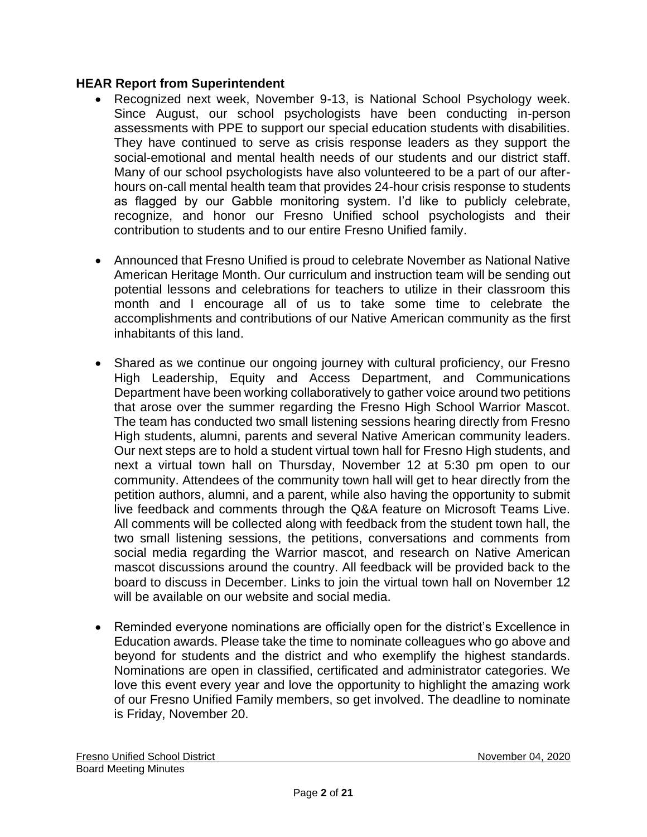## **HEAR Report from Superintendent**

- Recognized next week, November 9-13, is National School Psychology week. Since August, our school psychologists have been conducting in-person assessments with PPE to support our special education students with disabilities. They have continued to serve as crisis response leaders as they support the social-emotional and mental health needs of our students and our district staff. Many of our school psychologists have also volunteered to be a part of our afterhours on-call mental health team that provides 24-hour crisis response to students as flagged by our Gabble monitoring system. I'd like to publicly celebrate, recognize, and honor our Fresno Unified school psychologists and their contribution to students and to our entire Fresno Unified family.
- Announced that Fresno Unified is proud to celebrate November as National Native American Heritage Month. Our curriculum and instruction team will be sending out potential lessons and celebrations for teachers to utilize in their classroom this month and I encourage all of us to take some time to celebrate the accomplishments and contributions of our Native American community as the first inhabitants of this land.
- Shared as we continue our ongoing journey with cultural proficiency, our Fresno High Leadership, Equity and Access Department, and Communications Department have been working collaboratively to gather voice around two petitions that arose over the summer regarding the Fresno High School Warrior Mascot. The team has conducted two small listening sessions hearing directly from Fresno High students, alumni, parents and several Native American community leaders. Our next steps are to hold a student virtual town hall for Fresno High students, and next a virtual town hall on Thursday, November 12 at 5:30 pm open to our community. Attendees of the community town hall will get to hear directly from the petition authors, alumni, and a parent, while also having the opportunity to submit live feedback and comments through the Q&A feature on Microsoft Teams Live. All comments will be collected along with feedback from the student town hall, the two small listening sessions, the petitions, conversations and comments from social media regarding the Warrior mascot, and research on Native American mascot discussions around the country. All feedback will be provided back to the board to discuss in December. Links to join the virtual town hall on November 12 will be available on our website and social media.
- Reminded everyone nominations are officially open for the district's Excellence in Education awards. Please take the time to nominate colleagues who go above and beyond for students and the district and who exemplify the highest standards. Nominations are open in classified, certificated and administrator categories. We love this event every year and love the opportunity to highlight the amazing work of our Fresno Unified Family members, so get involved. The deadline to nominate is Friday, November 20.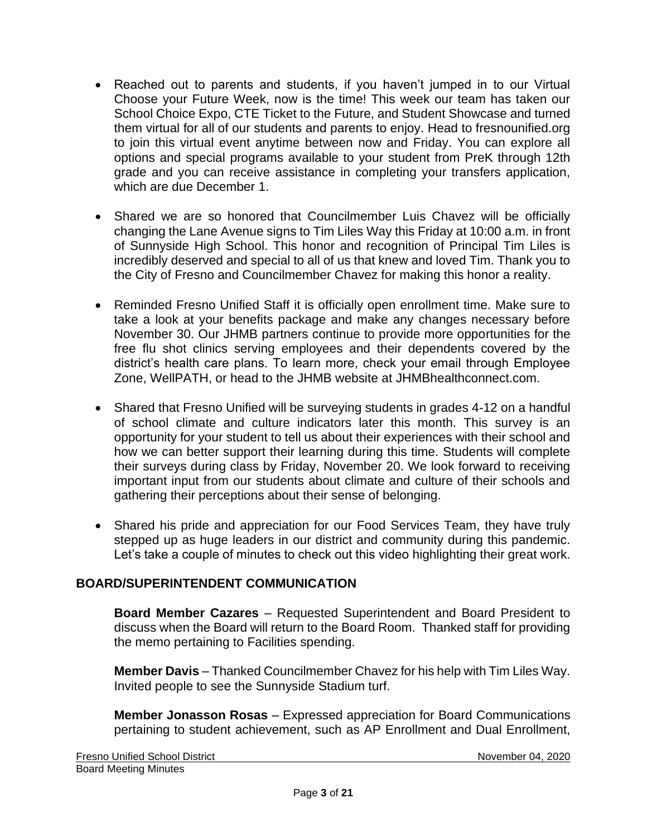- Reached out to parents and students, if you haven't jumped in to our Virtual Choose your Future Week, now is the time! This week our team has taken our School Choice Expo, CTE Ticket to the Future, and Student Showcase and turned them virtual for all of our students and parents to enjoy. Head to fresnounified.org to join this virtual event anytime between now and Friday. You can explore all options and special programs available to your student from PreK through 12th grade and you can receive assistance in completing your transfers application, which are due December 1.
- Shared we are so honored that Councilmember Luis Chavez will be officially changing the Lane Avenue signs to Tim Liles Way this Friday at 10:00 a.m. in front of Sunnyside High School. This honor and recognition of Principal Tim Liles is incredibly deserved and special to all of us that knew and loved Tim. Thank you to the City of Fresno and Councilmember Chavez for making this honor a reality.
- Reminded Fresno Unified Staff it is officially open enrollment time. Make sure to take a look at your benefits package and make any changes necessary before November 30. Our JHMB partners continue to provide more opportunities for the free flu shot clinics serving employees and their dependents covered by the district's health care plans. To learn more, check your email through Employee Zone, WellPATH, or head to the JHMB website at JHMBhealthconnect.com.
- Shared that Fresno Unified will be surveying students in grades 4-12 on a handful of school climate and culture indicators later this month. This survey is an opportunity for your student to tell us about their experiences with their school and how we can better support their learning during this time. Students will complete their surveys during class by Friday, November 20. We look forward to receiving important input from our students about climate and culture of their schools and gathering their perceptions about their sense of belonging.
- Shared his pride and appreciation for our Food Services Team, they have truly stepped up as huge leaders in our district and community during this pandemic. Let's take a couple of minutes to check out this video highlighting their great work.

## **BOARD/SUPERINTENDENT COMMUNICATION**

**Board Member Cazares** – Requested Superintendent and Board President to discuss when the Board will return to the Board Room. Thanked staff for providing the memo pertaining to Facilities spending.

**Member Davis** – Thanked Councilmember Chavez for his help with Tim Liles Way. Invited people to see the Sunnyside Stadium turf.

**Member Jonasson Rosas** – Expressed appreciation for Board Communications pertaining to student achievement, such as AP Enrollment and Dual Enrollment,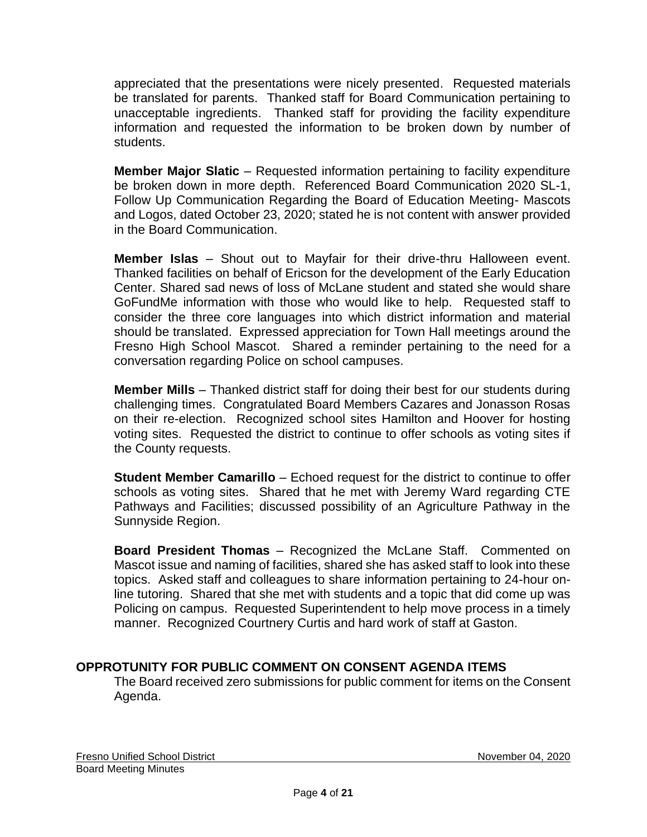appreciated that the presentations were nicely presented. Requested materials be translated for parents. Thanked staff for Board Communication pertaining to unacceptable ingredients. Thanked staff for providing the facility expenditure information and requested the information to be broken down by number of students.

**Member Major Slatic** – Requested information pertaining to facility expenditure be broken down in more depth. Referenced Board Communication 2020 SL-1, Follow Up Communication Regarding the Board of Education Meeting- Mascots and Logos, dated October 23, 2020; stated he is not content with answer provided in the Board Communication.

**Member Islas** – Shout out to Mayfair for their drive-thru Halloween event. Thanked facilities on behalf of Ericson for the development of the Early Education Center. Shared sad news of loss of McLane student and stated she would share GoFundMe information with those who would like to help. Requested staff to consider the three core languages into which district information and material should be translated. Expressed appreciation for Town Hall meetings around the Fresno High School Mascot. Shared a reminder pertaining to the need for a conversation regarding Police on school campuses.

**Member Mills** – Thanked district staff for doing their best for our students during challenging times. Congratulated Board Members Cazares and Jonasson Rosas on their re-election. Recognized school sites Hamilton and Hoover for hosting voting sites. Requested the district to continue to offer schools as voting sites if the County requests.

**Student Member Camarillo** – Echoed request for the district to continue to offer schools as voting sites. Shared that he met with Jeremy Ward regarding CTE Pathways and Facilities; discussed possibility of an Agriculture Pathway in the Sunnyside Region.

**Board President Thomas** – Recognized the McLane Staff. Commented on Mascot issue and naming of facilities, shared she has asked staff to look into these topics. Asked staff and colleagues to share information pertaining to 24-hour online tutoring. Shared that she met with students and a topic that did come up was Policing on campus. Requested Superintendent to help move process in a timely manner. Recognized Courtnery Curtis and hard work of staff at Gaston.

## **OPPROTUNITY FOR PUBLIC COMMENT ON CONSENT AGENDA ITEMS**

The Board received zero submissions for public comment for items on the Consent Agenda.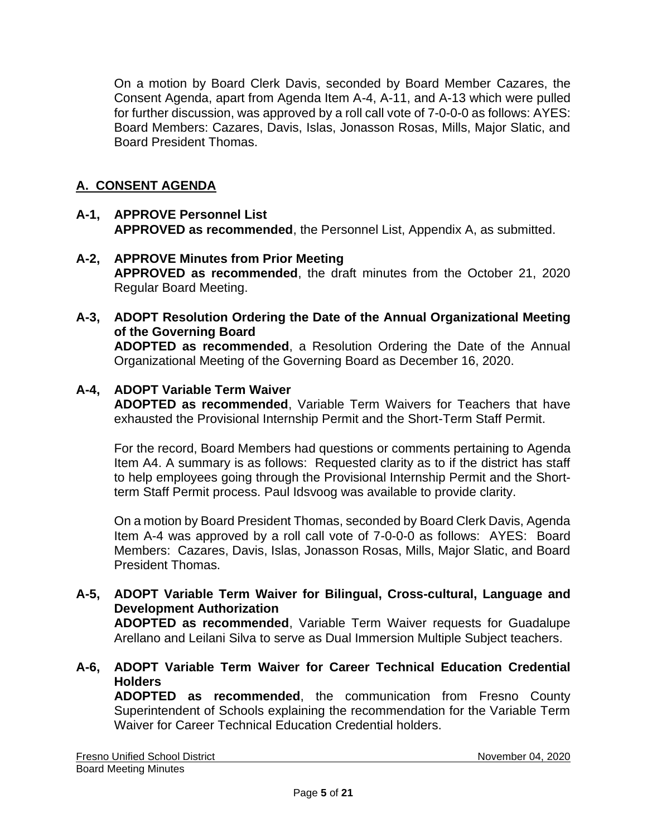On a motion by Board Clerk Davis, seconded by Board Member Cazares, the Consent Agenda, apart from Agenda Item A-4, A-11, and A-13 which were pulled for further discussion, was approved by a roll call vote of 7-0-0-0 as follows: AYES: Board Members: Cazares, Davis, Islas, Jonasson Rosas, Mills, Major Slatic, and Board President Thomas.

# **A. CONSENT AGENDA**

### **A-1, APPROVE Personnel List APPROVED as recommended**, the Personnel List, Appendix A, as submitted.

- **A-2, APPROVE Minutes from Prior Meeting APPROVED as recommended**, the draft minutes from the October 21, 2020 Regular Board Meeting.
- **A-3, ADOPT Resolution Ordering the Date of the Annual Organizational Meeting of the Governing Board ADOPTED as recommended**, a Resolution Ordering the Date of the Annual Organizational Meeting of the Governing Board as December 16, 2020.

## **A-4, ADOPT Variable Term Waiver**

**ADOPTED as recommended**, Variable Term Waivers for Teachers that have exhausted the Provisional Internship Permit and the Short-Term Staff Permit.

For the record, Board Members had questions or comments pertaining to Agenda Item A4. A summary is as follows: Requested clarity as to if the district has staff to help employees going through the Provisional Internship Permit and the Shortterm Staff Permit process. Paul Idsvoog was available to provide clarity.

On a motion by Board President Thomas, seconded by Board Clerk Davis, Agenda Item A-4 was approved by a roll call vote of 7-0-0-0 as follows: AYES: Board Members: Cazares, Davis, Islas, Jonasson Rosas, Mills, Major Slatic, and Board President Thomas.

#### **A-5, ADOPT Variable Term Waiver for Bilingual, Cross-cultural, Language and Development Authorization ADOPTED as recommended**, Variable Term Waiver requests for Guadalupe

Arellano and Leilani Silva to serve as Dual Immersion Multiple Subject teachers.

**A-6, ADOPT Variable Term Waiver for Career Technical Education Credential Holders**

**ADOPTED as recommended**, the communication from Fresno County Superintendent of Schools explaining the recommendation for the Variable Term Waiver for Career Technical Education Credential holders.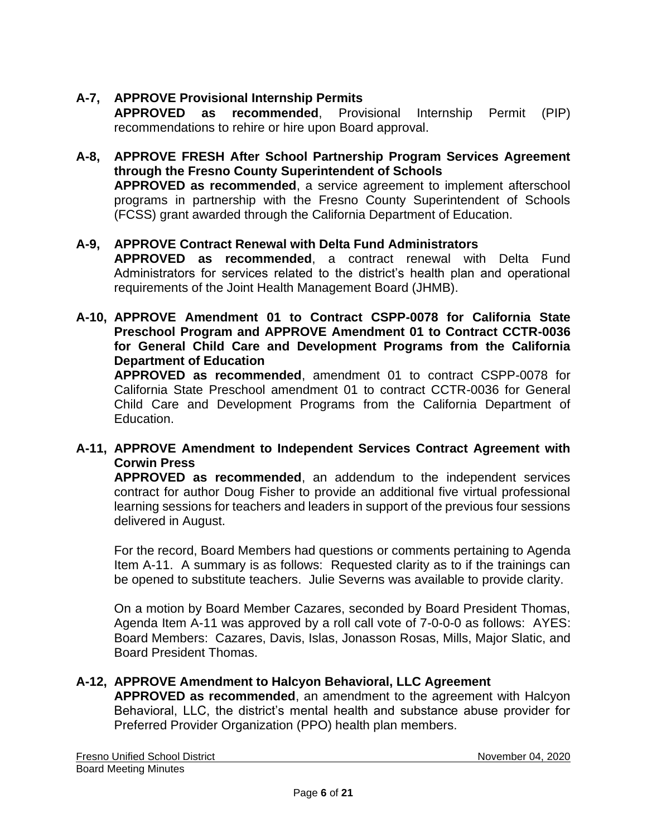# **A-7, APPROVE Provisional Internship Permits**

**APPROVED as recommended**, Provisional Internship Permit (PIP) recommendations to rehire or hire upon Board approval.

**A-8, APPROVE FRESH After School Partnership Program Services Agreement through the Fresno County Superintendent of Schools APPROVED as recommended**, a service agreement to implement afterschool programs in partnership with the Fresno County Superintendent of Schools (FCSS) grant awarded through the California Department of Education.

## **A-9, APPROVE Contract Renewal with Delta Fund Administrators**

**APPROVED as recommended**, a contract renewal with Delta Fund Administrators for services related to the district's health plan and operational requirements of the Joint Health Management Board (JHMB).

**A-10, APPROVE Amendment 01 to Contract CSPP-0078 for California State Preschool Program and APPROVE Amendment 01 to Contract CCTR-0036 for General Child Care and Development Programs from the California Department of Education**

**APPROVED as recommended**, amendment 01 to contract CSPP-0078 for California State Preschool amendment 01 to contract CCTR-0036 for General Child Care and Development Programs from the California Department of Education.

## **A-11, APPROVE Amendment to Independent Services Contract Agreement with Corwin Press**

**APPROVED as recommended**, an addendum to the independent services contract for author Doug Fisher to provide an additional five virtual professional learning sessions for teachers and leaders in support of the previous four sessions delivered in August.

For the record, Board Members had questions or comments pertaining to Agenda Item A-11. A summary is as follows: Requested clarity as to if the trainings can be opened to substitute teachers. Julie Severns was available to provide clarity.

On a motion by Board Member Cazares, seconded by Board President Thomas, Agenda Item A-11 was approved by a roll call vote of 7-0-0-0 as follows: AYES: Board Members: Cazares, Davis, Islas, Jonasson Rosas, Mills, Major Slatic, and Board President Thomas.

### **A-12, APPROVE Amendment to Halcyon Behavioral, LLC Agreement**

**APPROVED as recommended**, an amendment to the agreement with Halcyon Behavioral, LLC, the district's mental health and substance abuse provider for Preferred Provider Organization (PPO) health plan members.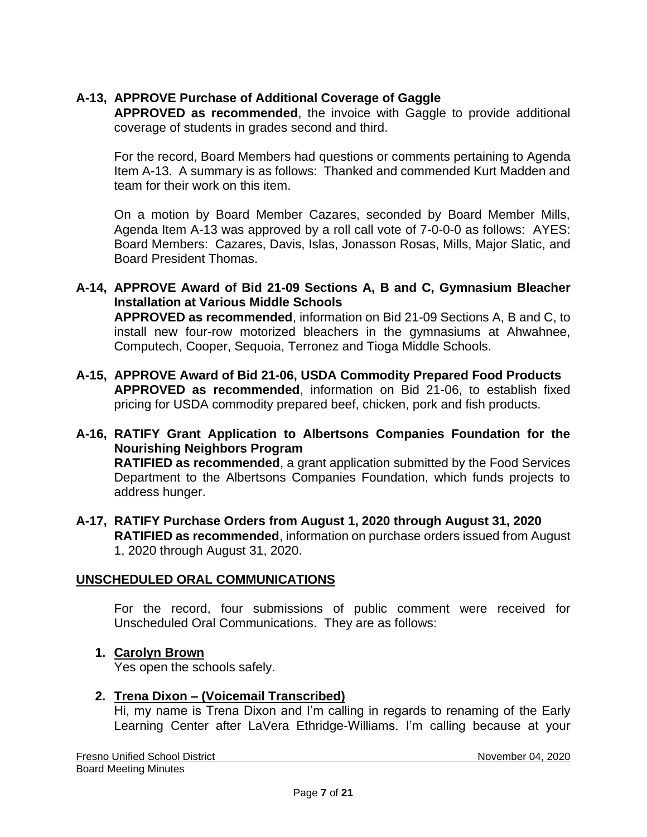# **A-13, APPROVE Purchase of Additional Coverage of Gaggle**

**APPROVED as recommended**, the invoice with Gaggle to provide additional coverage of students in grades second and third.

For the record, Board Members had questions or comments pertaining to Agenda Item A-13. A summary is as follows: Thanked and commended Kurt Madden and team for their work on this item.

On a motion by Board Member Cazares, seconded by Board Member Mills, Agenda Item A-13 was approved by a roll call vote of 7-0-0-0 as follows: AYES: Board Members: Cazares, Davis, Islas, Jonasson Rosas, Mills, Major Slatic, and Board President Thomas.

- **A-14, APPROVE Award of Bid 21-09 Sections A, B and C, Gymnasium Bleacher Installation at Various Middle Schools APPROVED as recommended**, information on Bid 21-09 Sections A, B and C, to install new four-row motorized bleachers in the gymnasiums at Ahwahnee, Computech, Cooper, Sequoia, Terronez and Tioga Middle Schools.
- **A-15, APPROVE Award of Bid 21-06, USDA Commodity Prepared Food Products APPROVED as recommended**, information on Bid 21-06, to establish fixed pricing for USDA commodity prepared beef, chicken, pork and fish products.
- **A-16, RATIFY Grant Application to Albertsons Companies Foundation for the Nourishing Neighbors Program RATIFIED as recommended**, a grant application submitted by the Food Services Department to the Albertsons Companies Foundation, which funds projects to address hunger.
- **A-17, RATIFY Purchase Orders from August 1, 2020 through August 31, 2020 RATIFIED as recommended**, information on purchase orders issued from August 1, 2020 through August 31, 2020.

## **UNSCHEDULED ORAL COMMUNICATIONS**

For the record, four submissions of public comment were received for Unscheduled Oral Communications. They are as follows:

### **1. Carolyn Brown**

Yes open the schools safely.

### **2. Trena Dixon – (Voicemail Transcribed)**

Hi, my name is Trena Dixon and I'm calling in regards to renaming of the Early Learning Center after LaVera Ethridge‐Williams. I'm calling because at your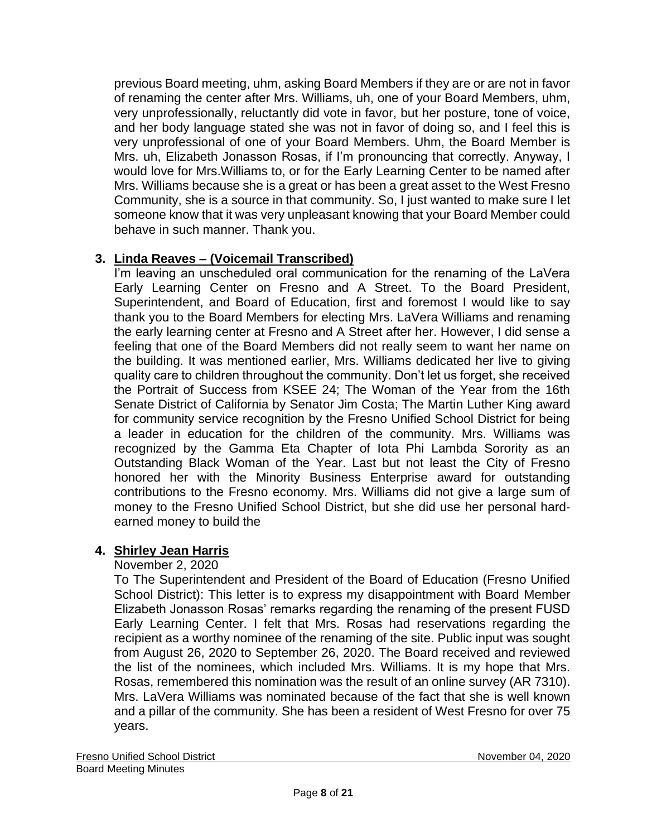previous Board meeting, uhm, asking Board Members if they are or are not in favor of renaming the center after Mrs. Williams, uh, one of your Board Members, uhm, very unprofessionally, reluctantly did vote in favor, but her posture, tone of voice, and her body language stated she was not in favor of doing so, and I feel this is very unprofessional of one of your Board Members. Uhm, the Board Member is Mrs. uh, Elizabeth Jonasson Rosas, if I'm pronouncing that correctly. Anyway, I would love for Mrs.Williams to, or for the Early Learning Center to be named after Mrs. Williams because she is a great or has been a great asset to the West Fresno Community, she is a source in that community. So, I just wanted to make sure I let someone know that it was very unpleasant knowing that your Board Member could behave in such manner. Thank you.

# **3. Linda Reaves – (Voicemail Transcribed)**

I'm leaving an unscheduled oral communication for the renaming of the LaVera Early Learning Center on Fresno and A Street. To the Board President, Superintendent, and Board of Education, first and foremost I would like to say thank you to the Board Members for electing Mrs. LaVera Williams and renaming the early learning center at Fresno and A Street after her. However, I did sense a feeling that one of the Board Members did not really seem to want her name on the building. It was mentioned earlier, Mrs. Williams dedicated her live to giving quality care to children throughout the community. Don't let us forget, she received the Portrait of Success from KSEE 24; The Woman of the Year from the 16th Senate District of California by Senator Jim Costa; The Martin Luther King award for community service recognition by the Fresno Unified School District for being a leader in education for the children of the community. Mrs. Williams was recognized by the Gamma Eta Chapter of Iota Phi Lambda Sorority as an Outstanding Black Woman of the Year. Last but not least the City of Fresno honored her with the Minority Business Enterprise award for outstanding contributions to the Fresno economy. Mrs. Williams did not give a large sum of money to the Fresno Unified School District, but she did use her personal hard‐ earned money to build the

## **4. Shirley Jean Harris**

## November 2, 2020

To The Superintendent and President of the Board of Education (Fresno Unified School District): This letter is to express my disappointment with Board Member Elizabeth Jonasson Rosas' remarks regarding the renaming of the present FUSD Early Learning Center. I felt that Mrs. Rosas had reservations regarding the recipient as a worthy nominee of the renaming of the site. Public input was sought from August 26, 2020 to September 26, 2020. The Board received and reviewed the list of the nominees, which included Mrs. Williams. It is my hope that Mrs. Rosas, remembered this nomination was the result of an online survey (AR 7310). Mrs. LaVera Williams was nominated because of the fact that she is well known and a pillar of the community. She has been a resident of West Fresno for over 75 years.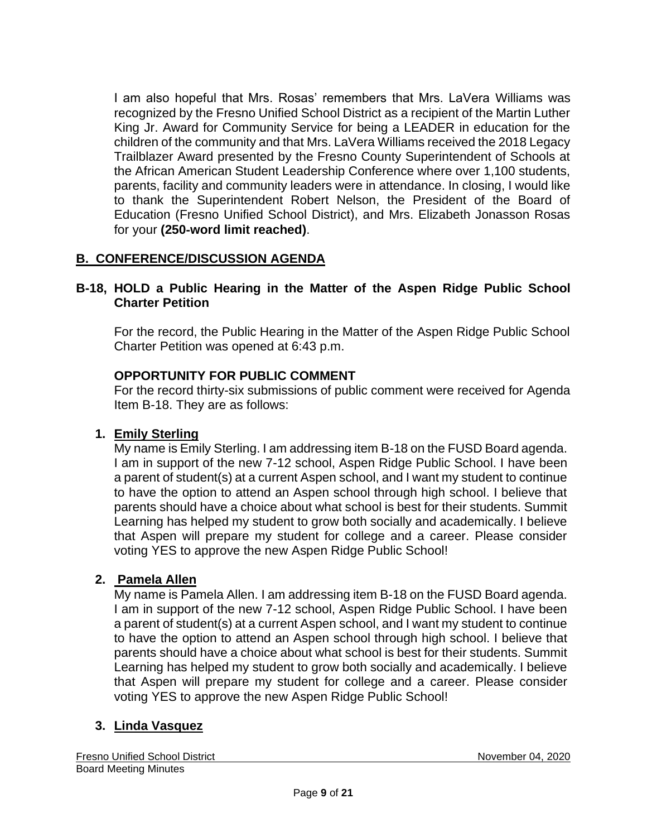I am also hopeful that Mrs. Rosas' remembers that Mrs. LaVera Williams was recognized by the Fresno Unified School District as a recipient of the Martin Luther King Jr. Award for Community Service for being a LEADER in education for the children of the community and that Mrs. LaVera Williams received the 2018 Legacy Trailblazer Award presented by the Fresno County Superintendent of Schools at the African American Student Leadership Conference where over 1,100 students, parents, facility and community leaders were in attendance. In closing, I would like to thank the Superintendent Robert Nelson, the President of the Board of Education (Fresno Unified School District), and Mrs. Elizabeth Jonasson Rosas for your **(250**‐**word limit reached)**.

# **B. CONFERENCE/DISCUSSION AGENDA**

## **B-18, HOLD a Public Hearing in the Matter of the Aspen Ridge Public School Charter Petition**

For the record, the Public Hearing in the Matter of the Aspen Ridge Public School Charter Petition was opened at 6:43 p.m.

## **OPPORTUNITY FOR PUBLIC COMMENT**

For the record thirty-six submissions of public comment were received for Agenda Item B-18. They are as follows:

### **1. Emily Sterling**

My name is Emily Sterling. I am addressing item B-18 on the FUSD Board agenda. I am in support of the new 7-12 school, Aspen Ridge Public School. I have been a parent of student(s) at a current Aspen school, and I want my student to continue to have the option to attend an Aspen school through high school. I believe that parents should have a choice about what school is best for their students. Summit Learning has helped my student to grow both socially and academically. I believe that Aspen will prepare my student for college and a career. Please consider voting YES to approve the new Aspen Ridge Public School!

### **2. Pamela Allen**

My name is Pamela Allen. I am addressing item B-18 on the FUSD Board agenda. I am in support of the new 7-12 school, Aspen Ridge Public School. I have been a parent of student(s) at a current Aspen school, and I want my student to continue to have the option to attend an Aspen school through high school. I believe that parents should have a choice about what school is best for their students. Summit Learning has helped my student to grow both socially and academically. I believe that Aspen will prepare my student for college and a career. Please consider voting YES to approve the new Aspen Ridge Public School!

## **3. Linda Vasquez**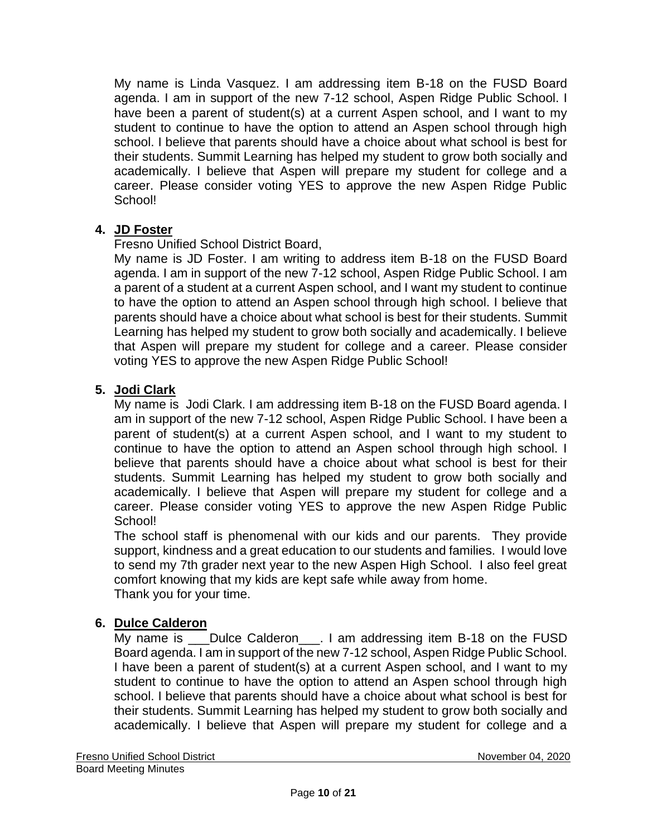My name is Linda Vasquez. I am addressing item B-18 on the FUSD Board agenda. I am in support of the new 7-12 school, Aspen Ridge Public School. I have been a parent of student(s) at a current Aspen school, and I want to my student to continue to have the option to attend an Aspen school through high school. I believe that parents should have a choice about what school is best for their students. Summit Learning has helped my student to grow both socially and academically. I believe that Aspen will prepare my student for college and a career. Please consider voting YES to approve the new Aspen Ridge Public School!

# **4. JD Foster**

Fresno Unified School District Board,

My name is JD Foster. I am writing to address item B-18 on the FUSD Board agenda. I am in support of the new 7-12 school, Aspen Ridge Public School. I am a parent of a student at a current Aspen school, and I want my student to continue to have the option to attend an Aspen school through high school. I believe that parents should have a choice about what school is best for their students. Summit Learning has helped my student to grow both socially and academically. I believe that Aspen will prepare my student for college and a career. Please consider voting YES to approve the new Aspen Ridge Public School!

## **5. Jodi Clark**

My name is Jodi Clark. I am addressing item B-18 on the FUSD Board agenda. I am in support of the new 7-12 school, Aspen Ridge Public School. I have been a parent of student(s) at a current Aspen school, and I want to my student to continue to have the option to attend an Aspen school through high school. I believe that parents should have a choice about what school is best for their students. Summit Learning has helped my student to grow both socially and academically. I believe that Aspen will prepare my student for college and a career. Please consider voting YES to approve the new Aspen Ridge Public School!

The school staff is phenomenal with our kids and our parents. They provide support, kindness and a great education to our students and families. I would love to send my 7th grader next year to the new Aspen High School. I also feel great comfort knowing that my kids are kept safe while away from home. Thank you for your time.

## **6. Dulce Calderon**

My name is \_\_\_Dulce Calderon\_\_\_. I am addressing item B-18 on the FUSD Board agenda. I am in support of the new 7-12 school, Aspen Ridge Public School. I have been a parent of student(s) at a current Aspen school, and I want to my student to continue to have the option to attend an Aspen school through high school. I believe that parents should have a choice about what school is best for their students. Summit Learning has helped my student to grow both socially and academically. I believe that Aspen will prepare my student for college and a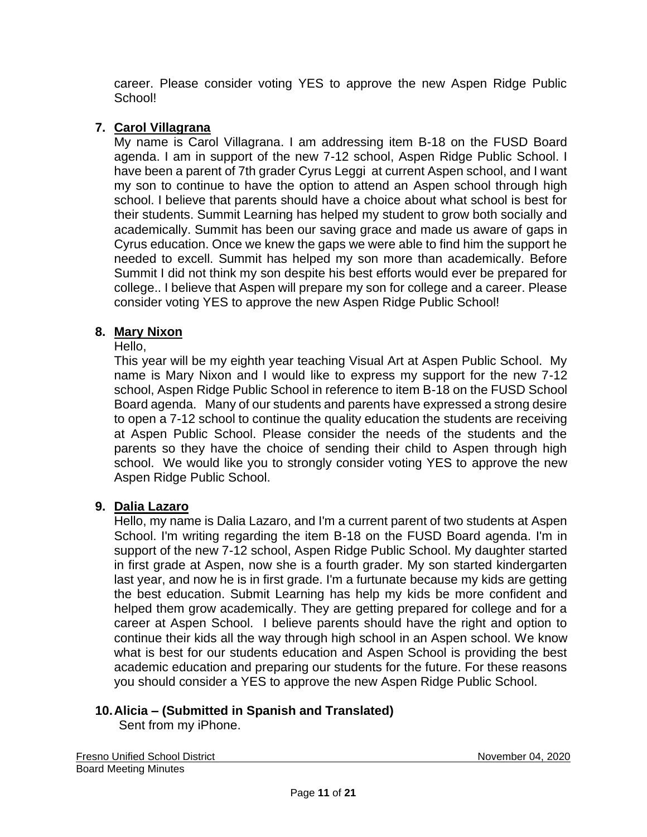career. Please consider voting YES to approve the new Aspen Ridge Public School!

# **7. Carol Villagrana**

My name is Carol Villagrana. I am addressing item B-18 on the FUSD Board agenda. I am in support of the new 7-12 school, Aspen Ridge Public School. I have been a parent of 7th grader Cyrus Leggi at current Aspen school, and I want my son to continue to have the option to attend an Aspen school through high school. I believe that parents should have a choice about what school is best for their students. Summit Learning has helped my student to grow both socially and academically. Summit has been our saving grace and made us aware of gaps in Cyrus education. Once we knew the gaps we were able to find him the support he needed to excell. Summit has helped my son more than academically. Before Summit I did not think my son despite his best efforts would ever be prepared for college.. I believe that Aspen will prepare my son for college and a career. Please consider voting YES to approve the new Aspen Ridge Public School!

# **8. Mary Nixon**

## Hello,

This year will be my eighth year teaching Visual Art at Aspen Public School. My name is Mary Nixon and I would like to express my support for the new 7-12 school, Aspen Ridge Public School in reference to item B-18 on the FUSD School Board agenda. Many of our students and parents have expressed a strong desire to open a 7-12 school to continue the quality education the students are receiving at Aspen Public School. Please consider the needs of the students and the parents so they have the choice of sending their child to Aspen through high school. We would like you to strongly consider voting YES to approve the new Aspen Ridge Public School.

## **9. Dalia Lazaro**

Hello, my name is Dalia Lazaro, and I'm a current parent of two students at Aspen School. I'm writing regarding the item B-18 on the FUSD Board agenda. I'm in support of the new 7-12 school, Aspen Ridge Public School. My daughter started in first grade at Aspen, now she is a fourth grader. My son started kindergarten last year, and now he is in first grade. I'm a furtunate because my kids are getting the best education. Submit Learning has help my kids be more confident and helped them grow academically. They are getting prepared for college and for a career at Aspen School. I believe parents should have the right and option to continue their kids all the way through high school in an Aspen school. We know what is best for our students education and Aspen School is providing the best academic education and preparing our students for the future. For these reasons you should consider a YES to approve the new Aspen Ridge Public School.

# **10.Alicia – (Submitted in Spanish and Translated)**

Sent from my iPhone.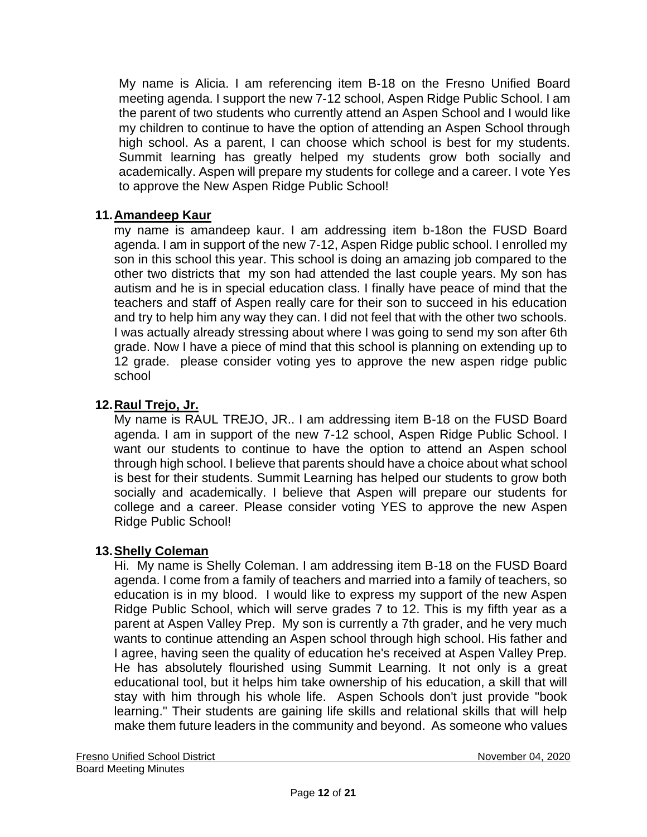My name is Alicia. I am referencing item B‐18 on the Fresno Unified Board meeting agenda. I support the new 7‐12 school, Aspen Ridge Public School. I am the parent of two students who currently attend an Aspen School and I would like my children to continue to have the option of attending an Aspen School through high school. As a parent, I can choose which school is best for my students. Summit learning has greatly helped my students grow both socially and academically. Aspen will prepare my students for college and a career. I vote Yes to approve the New Aspen Ridge Public School!

## **11.Amandeep Kaur**

my name is amandeep kaur. I am addressing item b-18on the FUSD Board agenda. I am in support of the new 7-12, Aspen Ridge public school. I enrolled my son in this school this year. This school is doing an amazing job compared to the other two districts that my son had attended the last couple years. My son has autism and he is in special education class. I finally have peace of mind that the teachers and staff of Aspen really care for their son to succeed in his education and try to help him any way they can. I did not feel that with the other two schools. I was actually already stressing about where I was going to send my son after 6th grade. Now I have a piece of mind that this school is planning on extending up to 12 grade. please consider voting yes to approve the new aspen ridge public school

## **12.Raul Trejo, Jr.**

My name is RAUL TREJO, JR.. I am addressing item B-18 on the FUSD Board agenda. I am in support of the new 7-12 school, Aspen Ridge Public School. I want our students to continue to have the option to attend an Aspen school through high school. I believe that parents should have a choice about what school is best for their students. Summit Learning has helped our students to grow both socially and academically. I believe that Aspen will prepare our students for college and a career. Please consider voting YES to approve the new Aspen Ridge Public School!

### **13.Shelly Coleman**

Hi. My name is Shelly Coleman. I am addressing item B-18 on the FUSD Board agenda. I come from a family of teachers and married into a family of teachers, so education is in my blood. I would like to express my support of the new Aspen Ridge Public School, which will serve grades 7 to 12. This is my fifth year as a parent at Aspen Valley Prep. My son is currently a 7th grader, and he very much wants to continue attending an Aspen school through high school. His father and I agree, having seen the quality of education he's received at Aspen Valley Prep. He has absolutely flourished using Summit Learning. It not only is a great educational tool, but it helps him take ownership of his education, a skill that will stay with him through his whole life. Aspen Schools don't just provide "book learning." Their students are gaining life skills and relational skills that will help make them future leaders in the community and beyond. As someone who values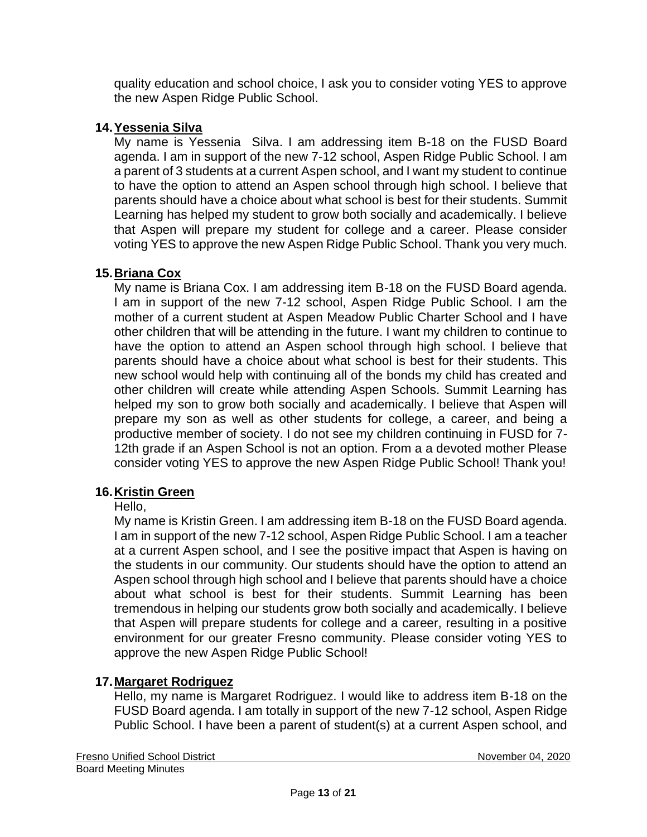quality education and school choice, I ask you to consider voting YES to approve the new Aspen Ridge Public School.

## **14.Yessenia Silva**

My name is Yessenia Silva. I am addressing item B-18 on the FUSD Board agenda. I am in support of the new 7-12 school, Aspen Ridge Public School. I am a parent of 3 students at a current Aspen school, and I want my student to continue to have the option to attend an Aspen school through high school. I believe that parents should have a choice about what school is best for their students. Summit Learning has helped my student to grow both socially and academically. I believe that Aspen will prepare my student for college and a career. Please consider voting YES to approve the new Aspen Ridge Public School. Thank you very much.

# **15.Briana Cox**

My name is Briana Cox. I am addressing item B-18 on the FUSD Board agenda. I am in support of the new 7-12 school, Aspen Ridge Public School. I am the mother of a current student at Aspen Meadow Public Charter School and I have other children that will be attending in the future. I want my children to continue to have the option to attend an Aspen school through high school. I believe that parents should have a choice about what school is best for their students. This new school would help with continuing all of the bonds my child has created and other children will create while attending Aspen Schools. Summit Learning has helped my son to grow both socially and academically. I believe that Aspen will prepare my son as well as other students for college, a career, and being a productive member of society. I do not see my children continuing in FUSD for 7- 12th grade if an Aspen School is not an option. From a a devoted mother Please consider voting YES to approve the new Aspen Ridge Public School! Thank you!

# **16.Kristin Green**

## Hello,

My name is Kristin Green. I am addressing item B-18 on the FUSD Board agenda. I am in support of the new 7-12 school, Aspen Ridge Public School. I am a teacher at a current Aspen school, and I see the positive impact that Aspen is having on the students in our community. Our students should have the option to attend an Aspen school through high school and I believe that parents should have a choice about what school is best for their students. Summit Learning has been tremendous in helping our students grow both socially and academically. I believe that Aspen will prepare students for college and a career, resulting in a positive environment for our greater Fresno community. Please consider voting YES to approve the new Aspen Ridge Public School!

## **17.Margaret Rodriguez**

Hello, my name is Margaret Rodriguez. I would like to address item B-18 on the FUSD Board agenda. I am totally in support of the new 7-12 school, Aspen Ridge Public School. I have been a parent of student(s) at a current Aspen school, and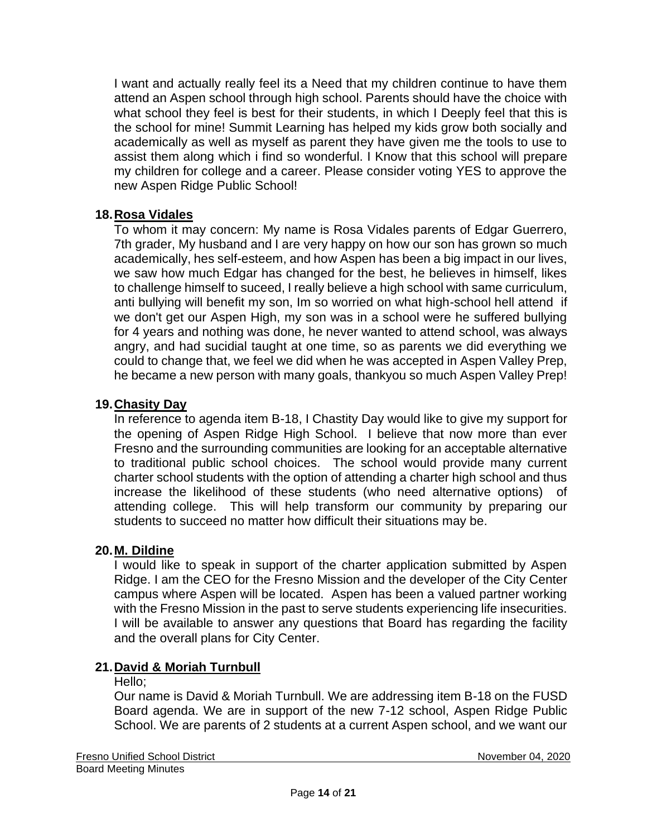I want and actually really feel its a Need that my children continue to have them attend an Aspen school through high school. Parents should have the choice with what school they feel is best for their students, in which I Deeply feel that this is the school for mine! Summit Learning has helped my kids grow both socially and academically as well as myself as parent they have given me the tools to use to assist them along which i find so wonderful. I Know that this school will prepare my children for college and a career. Please consider voting YES to approve the new Aspen Ridge Public School!

## **18.Rosa Vidales**

To whom it may concern: My name is Rosa Vidales parents of Edgar Guerrero, 7th grader, My husband and I are very happy on how our son has grown so much academically, hes self-esteem, and how Aspen has been a big impact in our lives, we saw how much Edgar has changed for the best, he believes in himself, likes to challenge himself to suceed, I really believe a high school with same curriculum, anti bullying will benefit my son, Im so worried on what high-school hell attend if we don't get our Aspen High, my son was in a school were he suffered bullying for 4 years and nothing was done, he never wanted to attend school, was always angry, and had sucidial taught at one time, so as parents we did everything we could to change that, we feel we did when he was accepted in Aspen Valley Prep, he became a new person with many goals, thankyou so much Aspen Valley Prep!

### **19.Chasity Day**

In reference to agenda item B-18, I Chastity Day would like to give my support for the opening of Aspen Ridge High School. I believe that now more than ever Fresno and the surrounding communities are looking for an acceptable alternative to traditional public school choices. The school would provide many current charter school students with the option of attending a charter high school and thus increase the likelihood of these students (who need alternative options) of attending college. This will help transform our community by preparing our students to succeed no matter how difficult their situations may be.

### **20.M. Dildine**

I would like to speak in support of the charter application submitted by Aspen Ridge. I am the CEO for the Fresno Mission and the developer of the City Center campus where Aspen will be located. Aspen has been a valued partner working with the Fresno Mission in the past to serve students experiencing life insecurities. I will be available to answer any questions that Board has regarding the facility and the overall plans for City Center.

### **21.David & Moriah Turnbull**

#### Hello:

Our name is David & Moriah Turnbull. We are addressing item B-18 on the FUSD Board agenda. We are in support of the new 7-12 school, Aspen Ridge Public School. We are parents of 2 students at a current Aspen school, and we want our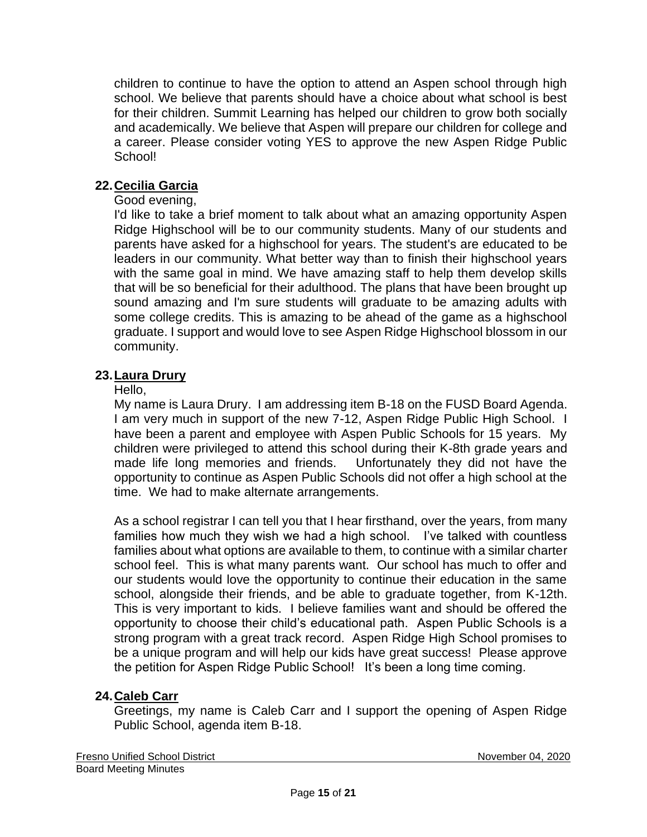children to continue to have the option to attend an Aspen school through high school. We believe that parents should have a choice about what school is best for their children. Summit Learning has helped our children to grow both socially and academically. We believe that Aspen will prepare our children for college and a career. Please consider voting YES to approve the new Aspen Ridge Public School!

# **22.Cecilia Garcia**

## Good evening,

I'd like to take a brief moment to talk about what an amazing opportunity Aspen Ridge Highschool will be to our community students. Many of our students and parents have asked for a highschool for years. The student's are educated to be leaders in our community. What better way than to finish their highschool years with the same goal in mind. We have amazing staff to help them develop skills that will be so beneficial for their adulthood. The plans that have been brought up sound amazing and I'm sure students will graduate to be amazing adults with some college credits. This is amazing to be ahead of the game as a highschool graduate. I support and would love to see Aspen Ridge Highschool blossom in our community.

## **23.Laura Drury**

## Hello,

My name is Laura Drury. I am addressing item B-18 on the FUSD Board Agenda. I am very much in support of the new 7-12, Aspen Ridge Public High School. I have been a parent and employee with Aspen Public Schools for 15 years. My children were privileged to attend this school during their K-8th grade years and made life long memories and friends. Unfortunately they did not have the opportunity to continue as Aspen Public Schools did not offer a high school at the time. We had to make alternate arrangements.

As a school registrar I can tell you that I hear firsthand, over the years, from many families how much they wish we had a high school. I've talked with countless families about what options are available to them, to continue with a similar charter school feel. This is what many parents want. Our school has much to offer and our students would love the opportunity to continue their education in the same school, alongside their friends, and be able to graduate together, from K-12th. This is very important to kids. I believe families want and should be offered the opportunity to choose their child's educational path. Aspen Public Schools is a strong program with a great track record. Aspen Ridge High School promises to be a unique program and will help our kids have great success! Please approve the petition for Aspen Ridge Public School! It's been a long time coming.

## **24.Caleb Carr**

Greetings, my name is Caleb Carr and I support the opening of Aspen Ridge Public School, agenda item B-18.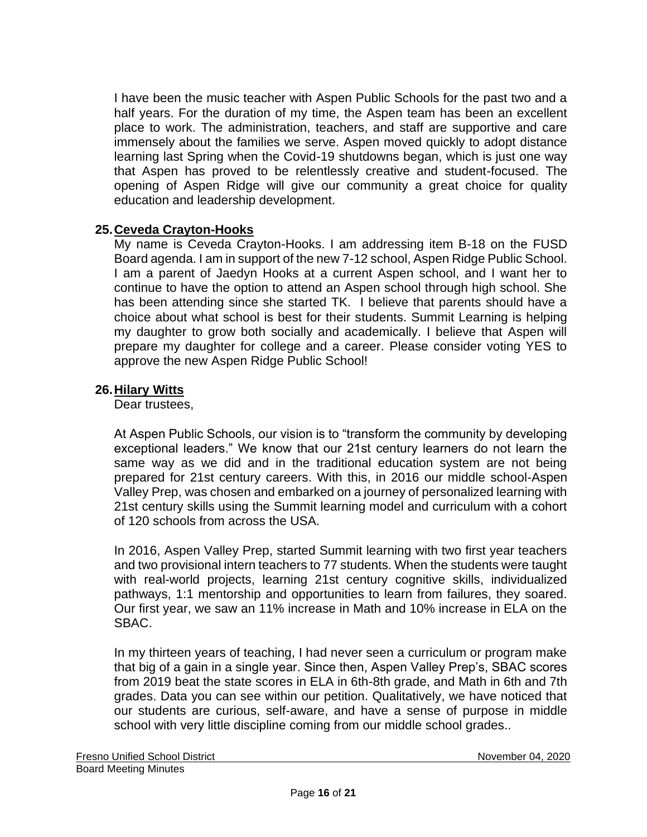I have been the music teacher with Aspen Public Schools for the past two and a half years. For the duration of my time, the Aspen team has been an excellent place to work. The administration, teachers, and staff are supportive and care immensely about the families we serve. Aspen moved quickly to adopt distance learning last Spring when the Covid-19 shutdowns began, which is just one way that Aspen has proved to be relentlessly creative and student-focused. The opening of Aspen Ridge will give our community a great choice for quality education and leadership development.

## **25.Ceveda Crayton-Hooks**

My name is Ceveda Crayton-Hooks. I am addressing item B-18 on the FUSD Board agenda. I am in support of the new 7-12 school, Aspen Ridge Public School. I am a parent of Jaedyn Hooks at a current Aspen school, and I want her to continue to have the option to attend an Aspen school through high school. She has been attending since she started TK. I believe that parents should have a choice about what school is best for their students. Summit Learning is helping my daughter to grow both socially and academically. I believe that Aspen will prepare my daughter for college and a career. Please consider voting YES to approve the new Aspen Ridge Public School!

## **26.Hilary Witts**

Dear trustees,

At Aspen Public Schools, our vision is to "transform the community by developing exceptional leaders." We know that our 21st century learners do not learn the same way as we did and in the traditional education system are not being prepared for 21st century careers. With this, in 2016 our middle school-Aspen Valley Prep, was chosen and embarked on a journey of personalized learning with 21st century skills using the Summit learning model and curriculum with a cohort of 120 schools from across the USA.

In 2016, Aspen Valley Prep, started Summit learning with two first year teachers and two provisional intern teachers to 77 students. When the students were taught with real-world projects, learning 21st century cognitive skills, individualized pathways, 1:1 mentorship and opportunities to learn from failures, they soared. Our first year, we saw an 11% increase in Math and 10% increase in ELA on the SBAC.

In my thirteen years of teaching, I had never seen a curriculum or program make that big of a gain in a single year. Since then, Aspen Valley Prep's, SBAC scores from 2019 beat the state scores in ELA in 6th-8th grade, and Math in 6th and 7th grades. Data you can see within our petition. Qualitatively, we have noticed that our students are curious, self-aware, and have a sense of purpose in middle school with very little discipline coming from our middle school grades..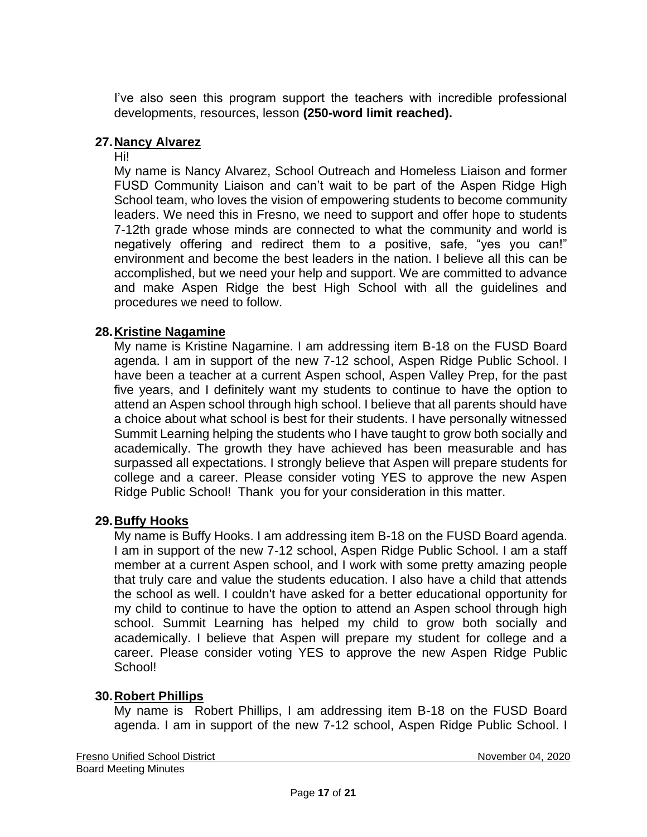I've also seen this program support the teachers with incredible professional developments, resources, lesson **(250-word limit reached).**

## **27.Nancy Alvarez**

#### Hi!

My name is Nancy Alvarez, School Outreach and Homeless Liaison and former FUSD Community Liaison and can't wait to be part of the Aspen Ridge High School team, who loves the vision of empowering students to become community leaders. We need this in Fresno, we need to support and offer hope to students 7-12th grade whose minds are connected to what the community and world is negatively offering and redirect them to a positive, safe, "yes you can!" environment and become the best leaders in the nation. I believe all this can be accomplished, but we need your help and support. We are committed to advance and make Aspen Ridge the best High School with all the guidelines and procedures we need to follow.

### **28.Kristine Nagamine**

My name is Kristine Nagamine. I am addressing item B-18 on the FUSD Board agenda. I am in support of the new 7-12 school, Aspen Ridge Public School. I have been a teacher at a current Aspen school, Aspen Valley Prep, for the past five years, and I definitely want my students to continue to have the option to attend an Aspen school through high school. I believe that all parents should have a choice about what school is best for their students. I have personally witnessed Summit Learning helping the students who I have taught to grow both socially and academically. The growth they have achieved has been measurable and has surpassed all expectations. I strongly believe that Aspen will prepare students for college and a career. Please consider voting YES to approve the new Aspen Ridge Public School! Thank you for your consideration in this matter.

### **29.Buffy Hooks**

My name is Buffy Hooks. I am addressing item B-18 on the FUSD Board agenda. I am in support of the new 7-12 school, Aspen Ridge Public School. I am a staff member at a current Aspen school, and I work with some pretty amazing people that truly care and value the students education. I also have a child that attends the school as well. I couldn't have asked for a better educational opportunity for my child to continue to have the option to attend an Aspen school through high school. Summit Learning has helped my child to grow both socially and academically. I believe that Aspen will prepare my student for college and a career. Please consider voting YES to approve the new Aspen Ridge Public School!

### **30.Robert Phillips**

My name is Robert Phillips, I am addressing item B-18 on the FUSD Board agenda. I am in support of the new 7-12 school, Aspen Ridge Public School. I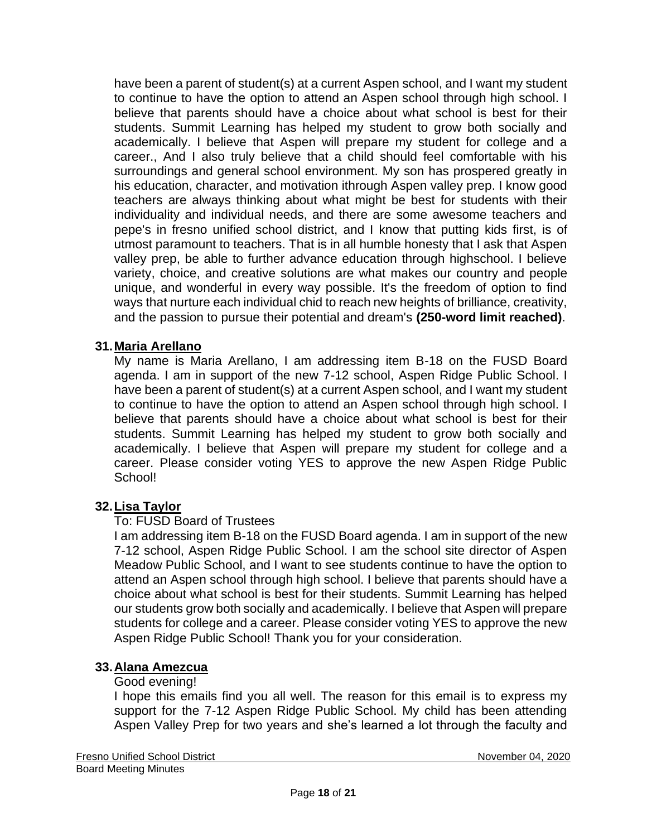have been a parent of student(s) at a current Aspen school, and I want my student to continue to have the option to attend an Aspen school through high school. I believe that parents should have a choice about what school is best for their students. Summit Learning has helped my student to grow both socially and academically. I believe that Aspen will prepare my student for college and a career., And I also truly believe that a child should feel comfortable with his surroundings and general school environment. My son has prospered greatly in his education, character, and motivation ithrough Aspen valley prep. I know good teachers are always thinking about what might be best for students with their individuality and individual needs, and there are some awesome teachers and pepe's in fresno unified school district, and I know that putting kids first, is of utmost paramount to teachers. That is in all humble honesty that I ask that Aspen valley prep, be able to further advance education through highschool. I believe variety, choice, and creative solutions are what makes our country and people unique, and wonderful in every way possible. It's the freedom of option to find ways that nurture each individual chid to reach new heights of brilliance, creativity, and the passion to pursue their potential and dream's **(250-word limit reached)**.

## **31.Maria Arellano**

My name is Maria Arellano, I am addressing item B-18 on the FUSD Board agenda. I am in support of the new 7-12 school, Aspen Ridge Public School. I have been a parent of student(s) at a current Aspen school, and I want my student to continue to have the option to attend an Aspen school through high school. I believe that parents should have a choice about what school is best for their students. Summit Learning has helped my student to grow both socially and academically. I believe that Aspen will prepare my student for college and a career. Please consider voting YES to approve the new Aspen Ridge Public School!

### **32.Lisa Taylor**

### To: FUSD Board of Trustees

I am addressing item B-18 on the FUSD Board agenda. I am in support of the new 7-12 school, Aspen Ridge Public School. I am the school site director of Aspen Meadow Public School, and I want to see students continue to have the option to attend an Aspen school through high school. I believe that parents should have a choice about what school is best for their students. Summit Learning has helped our students grow both socially and academically. I believe that Aspen will prepare students for college and a career. Please consider voting YES to approve the new Aspen Ridge Public School! Thank you for your consideration.

### **33.Alana Amezcua**

### Good evening!

I hope this emails find you all well. The reason for this email is to express my support for the 7-12 Aspen Ridge Public School. My child has been attending Aspen Valley Prep for two years and she's learned a lot through the faculty and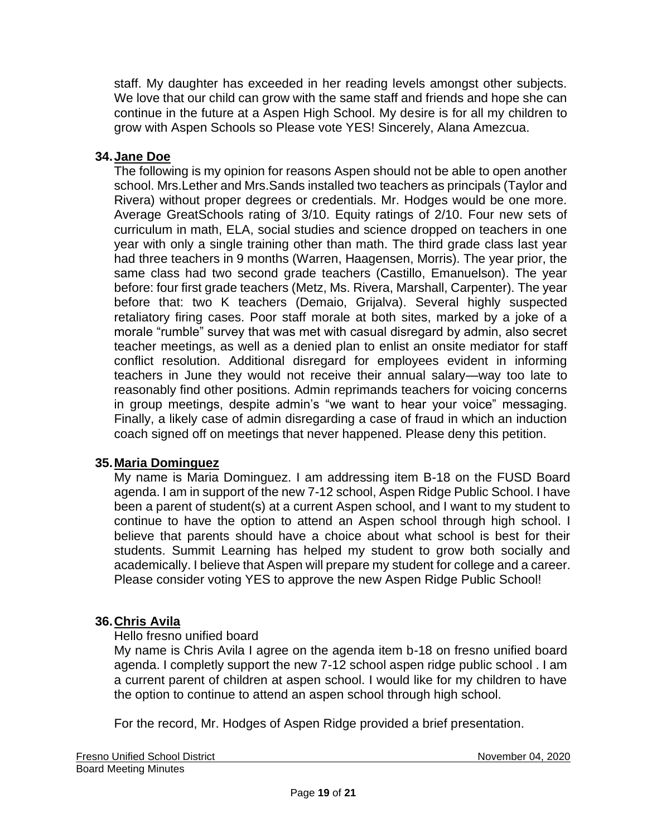staff. My daughter has exceeded in her reading levels amongst other subjects. We love that our child can grow with the same staff and friends and hope she can continue in the future at a Aspen High School. My desire is for all my children to grow with Aspen Schools so Please vote YES! Sincerely, Alana Amezcua.

## **34.Jane Doe**

The following is my opinion for reasons Aspen should not be able to open another school. Mrs.Lether and Mrs.Sands installed two teachers as principals (Taylor and Rivera) without proper degrees or credentials. Mr. Hodges would be one more. Average GreatSchools rating of 3/10. Equity ratings of 2/10. Four new sets of curriculum in math, ELA, social studies and science dropped on teachers in one year with only a single training other than math. The third grade class last year had three teachers in 9 months (Warren, Haagensen, Morris). The year prior, the same class had two second grade teachers (Castillo, Emanuelson). The year before: four first grade teachers (Metz, Ms. Rivera, Marshall, Carpenter). The year before that: two K teachers (Demaio, Grijalva). Several highly suspected retaliatory firing cases. Poor staff morale at both sites, marked by a joke of a morale "rumble" survey that was met with casual disregard by admin, also secret teacher meetings, as well as a denied plan to enlist an onsite mediator for staff conflict resolution. Additional disregard for employees evident in informing teachers in June they would not receive their annual salary—way too late to reasonably find other positions. Admin reprimands teachers for voicing concerns in group meetings, despite admin's "we want to hear your voice" messaging. Finally, a likely case of admin disregarding a case of fraud in which an induction coach signed off on meetings that never happened. Please deny this petition.

### **35.Maria Dominguez**

My name is Maria Dominguez. I am addressing item B-18 on the FUSD Board agenda. I am in support of the new 7-12 school, Aspen Ridge Public School. I have been a parent of student(s) at a current Aspen school, and I want to my student to continue to have the option to attend an Aspen school through high school. I believe that parents should have a choice about what school is best for their students. Summit Learning has helped my student to grow both socially and academically. I believe that Aspen will prepare my student for college and a career. Please consider voting YES to approve the new Aspen Ridge Public School!

### **36.Chris Avila**

### Hello fresno unified board

My name is Chris Avila I agree on the agenda item b-18 on fresno unified board agenda. I completly support the new 7-12 school aspen ridge public school . I am a current parent of children at aspen school. I would like for my children to have the option to continue to attend an aspen school through high school.

For the record, Mr. Hodges of Aspen Ridge provided a brief presentation.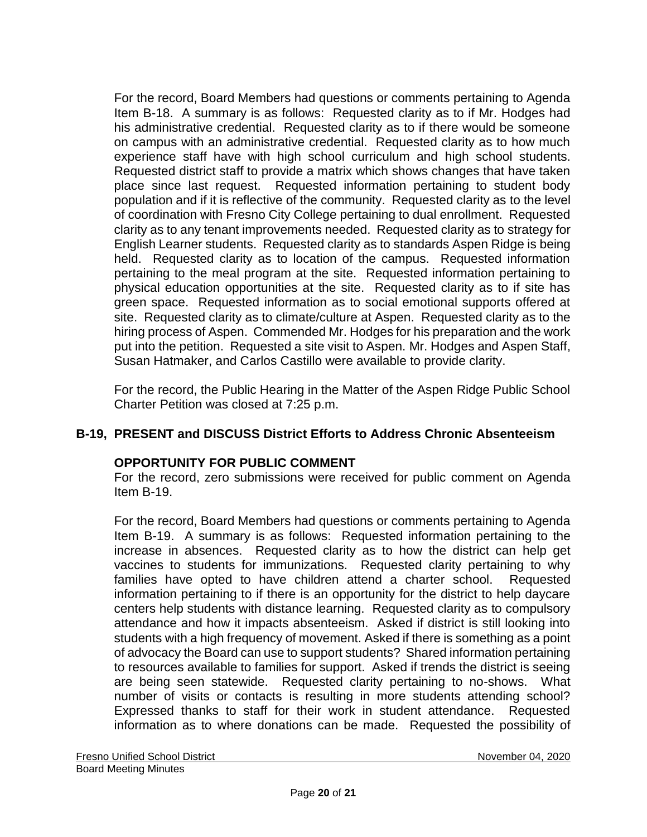For the record, Board Members had questions or comments pertaining to Agenda Item B-18. A summary is as follows: Requested clarity as to if Mr. Hodges had his administrative credential. Requested clarity as to if there would be someone on campus with an administrative credential. Requested clarity as to how much experience staff have with high school curriculum and high school students. Requested district staff to provide a matrix which shows changes that have taken place since last request. Requested information pertaining to student body population and if it is reflective of the community. Requested clarity as to the level of coordination with Fresno City College pertaining to dual enrollment. Requested clarity as to any tenant improvements needed. Requested clarity as to strategy for English Learner students. Requested clarity as to standards Aspen Ridge is being held. Requested clarity as to location of the campus. Requested information pertaining to the meal program at the site. Requested information pertaining to physical education opportunities at the site. Requested clarity as to if site has green space. Requested information as to social emotional supports offered at site. Requested clarity as to climate/culture at Aspen. Requested clarity as to the hiring process of Aspen. Commended Mr. Hodges for his preparation and the work put into the petition. Requested a site visit to Aspen. Mr. Hodges and Aspen Staff, Susan Hatmaker, and Carlos Castillo were available to provide clarity.

For the record, the Public Hearing in the Matter of the Aspen Ridge Public School Charter Petition was closed at 7:25 p.m.

## **B-19, PRESENT and DISCUSS District Efforts to Address Chronic Absenteeism**

### **OPPORTUNITY FOR PUBLIC COMMENT**

For the record, zero submissions were received for public comment on Agenda Item B-19.

For the record, Board Members had questions or comments pertaining to Agenda Item B-19. A summary is as follows: Requested information pertaining to the increase in absences. Requested clarity as to how the district can help get vaccines to students for immunizations. Requested clarity pertaining to why families have opted to have children attend a charter school. Requested information pertaining to if there is an opportunity for the district to help daycare centers help students with distance learning. Requested clarity as to compulsory attendance and how it impacts absenteeism. Asked if district is still looking into students with a high frequency of movement. Asked if there is something as a point of advocacy the Board can use to support students? Shared information pertaining to resources available to families for support. Asked if trends the district is seeing are being seen statewide. Requested clarity pertaining to no-shows. What number of visits or contacts is resulting in more students attending school? Expressed thanks to staff for their work in student attendance. Requested information as to where donations can be made. Requested the possibility of